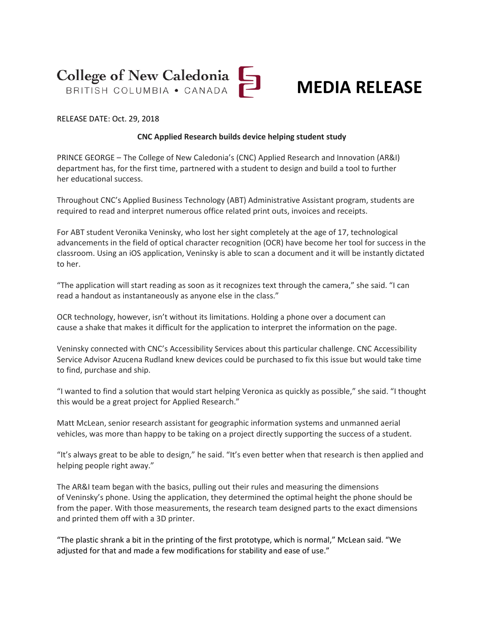



RELEASE DATE: Oct. 29, 2018

## **CNC Applied Research builds device helping student study**

PRINCE GEORGE – The College of New Caledonia's (CNC) Applied Research and Innovation (AR&I) department has, for the first time, partnered with a student to design and build a tool to further her educational success.

Throughout CNC's Applied Business Technology (ABT) Administrative Assistant program, students are required to read and interpret numerous office related print outs, invoices and receipts.

For ABT student Veronika Veninsky, who lost her sight completely at the age of 17, technological advancements in the field of optical character recognition (OCR) have become her tool for success in the classroom. Using an iOS application, Veninsky is able to scan a document and it will be instantly dictated to her.

"The application will start reading as soon as it recognizes text through the camera," she said. "I can read a handout as instantaneously as anyone else in the class."

OCR technology, however, isn't without its limitations. Holding a phone over a document can cause a shake that makes it difficult for the application to interpret the information on the page.

Veninsky connected with CNC's Accessibility Services about this particular challenge. CNC Accessibility Service Advisor Azucena Rudland knew devices could be purchased to fix this issue but would take time to find, purchase and ship.

"I wanted to find a solution that would start helping Veronica as quickly as possible," she said. "I thought this would be a great project for Applied Research."

Matt McLean, senior research assistant for geographic information systems and unmanned aerial vehicles, was more than happy to be taking on a project directly supporting the success of a student.

"It's always great to be able to design," he said. "It's even better when that research is then applied and helping people right away."

The AR&I team began with the basics, pulling out their rules and measuring the dimensions of Veninsky's phone. Using the application, they determined the optimal height the phone should be from the paper. With those measurements, the research team designed parts to the exact dimensions and printed them off with a 3D printer.

"The plastic shrank a bit in the printing of the first prototype, which is normal," McLean said. "We adjusted for that and made a few modifications for stability and ease of use."